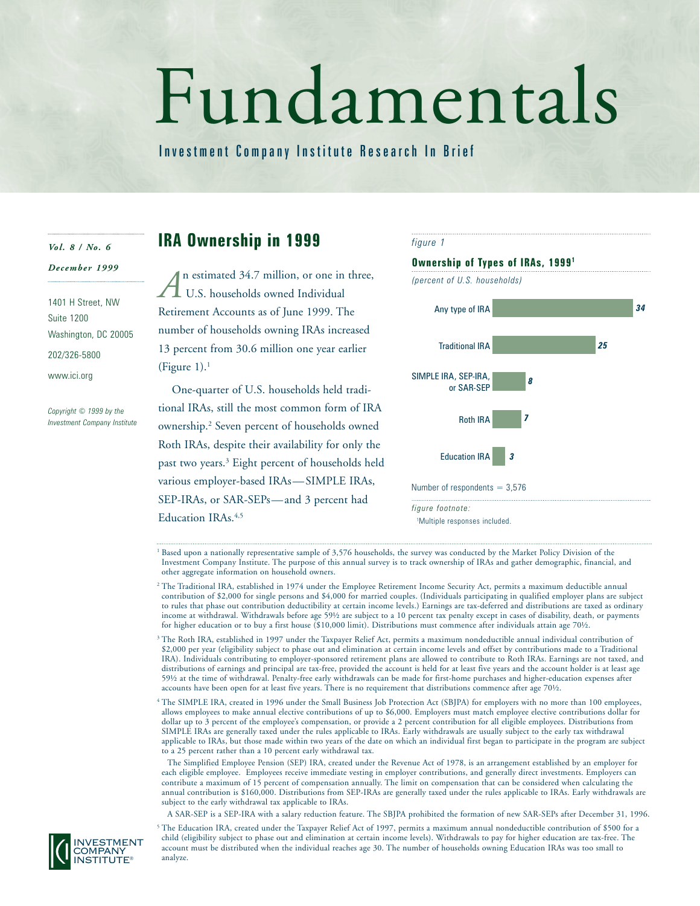# Fundamentals

Investment Company Institute Research In Brief

#### *Vol. 8 / No. 6*

### *December 1999*

1401 H Street, NW Suite 1200 Washington, DC 20005 202/326-5800 www.ici.org

*Copyright © 1999 by the Investment Company Institute*

# **IRA Ownership in 1999**

n estimated 34.7 million, or one in three, U.S. households owned Individual Retirement Accounts as of June 1999. The number of households owning IRAs increased 13 percent from 30.6 million one year earlier (Figure  $1$ ).<sup>1</sup> *A*

One-quarter of U.S. households held traditional IRAs, still the most common form of IRA ownership.2 Seven percent of households owned Roth IRAs, despite their availability for only the past two years.3 Eight percent of households held various employer-based IRAs—SIMPLE IRAs, SEP-IRAs, or SAR-SEPs—and 3 percent had Education IRAs.<sup>4,5</sup>



<sup>1</sup> Based upon a nationally representative sample of 3,576 households, the survey was conducted by the Market Policy Division of the Investment Company Institute. The purpose of this annual survey is to track ownership of IRAs and gather demographic, financial, and other aggregate information on household owners.

- <sup>2</sup> The Traditional IRA, established in 1974 under the Employee Retirement Income Security Act, permits a maximum deductible annual contribution of \$2,000 for single persons and \$4,000 for married couples. (Individuals participating in qualified employer plans are subject to rules that phase out contribution deductibility at certain income levels.) Earnings are tax-deferred and distributions are taxed as ordinary income at withdrawal. Withdrawals before age 59½ are subject to a 10 percent tax penalty except in cases of disability, death, or payments for higher education or to buy a first house (\$10,000 limit). Distributions must commence after individuals attain age 70½.
- <sup>3</sup> The Roth IRA, established in 1997 under the Taxpayer Relief Act, permits a maximum nondeductible annual individual contribution of \$2,000 per year (eligibility subject to phase out and elimination at certain income levels and offset by contributions made to a Traditional IRA). Individuals contributing to employer-sponsored retirement plans are allowed to contribute to Roth IRAs. Earnings are not taxed, and distributions of earnings and principal are tax-free, provided the account is held for at least five years and the account holder is at least age 59½ at the time of withdrawal. Penalty-free early withdrawals can be made for first-home purchases and higher-education expenses after accounts have been open for at least five years. There is no requirement that distributions commence after age 70½.
- <sup>4</sup> The SIMPLE IRA, created in 1996 under the Small Business Job Protection Act (SBJPA) for employers with no more than 100 employees, allows employees to make annual elective contributions of up to \$6,000. Employers must match employee elective contributions dollar for dollar up to 3 percent of the employee's compensation, or provide a 2 percent contribution for all eligible employees. Distributions from SIMPLE IRAs are generally taxed under the rules applicable to IRAs. Early withdrawals are usually subject to the early tax withdrawal applicable to IRAs, but those made within two years of the date on which an individual first began to participate in the program are subject to a 25 percent rather than a 10 percent early withdrawal tax.

A SAR-SEP is a SEP-IRA with a salary reduction feature. The SBJPA prohibited the formation of new SAR-SEPs after December 31, 1996.

<sup>5</sup> The Education IRA, created under the Taxpayer Relief Act of 1997, permits a maximum annual nondeductible contribution of \$500 for a child (eligibility subject to phase out and elimination at certain income levels). Withdrawals to pay for higher education are tax-free. The account must be distributed when the individual reaches age 30. The number of households owning Education IRAs was too small to analyze.



The Simplified Employee Pension (SEP) IRA, created under the Revenue Act of 1978, is an arrangement established by an employer for each eligible employee. Employees receive immediate vesting in employer contributions, and generally direct investments. Employers can contribute a maximum of 15 percent of compensation annually. The limit on compensation that can be considered when calculating the annual contribution is \$160,000. Distributions from SEP-IRAs are generally taxed under the rules applicable to IRAs. Early withdrawals are subject to the early withdrawal tax applicable to IRAs.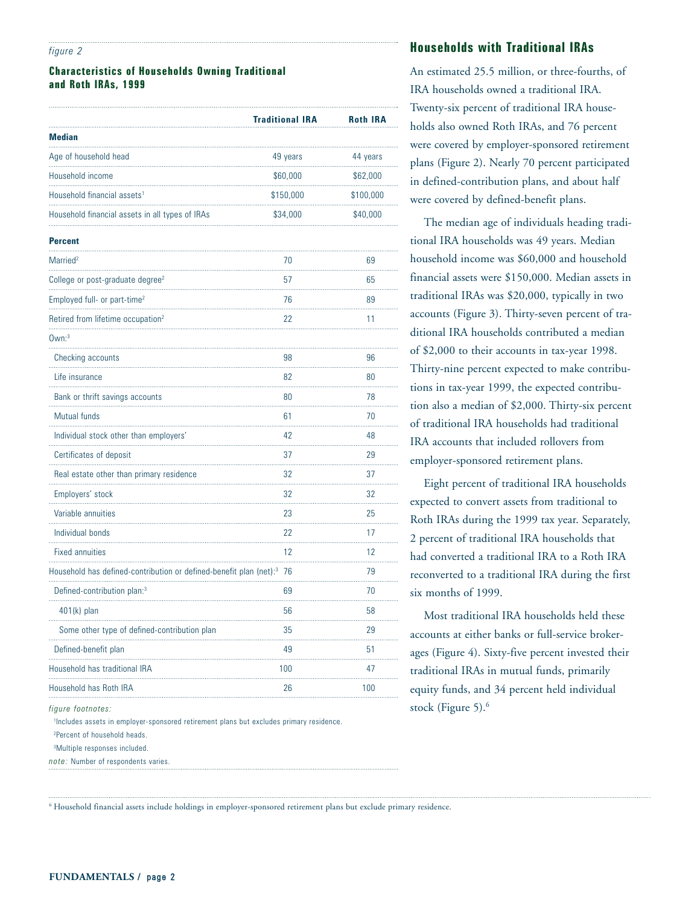#### *figure 2*

## **Characteristics of Households Owning Traditional and Roth IRAs, 1999**

|                                                                                   | <b>Traditional IRA</b> | <b>Roth IRA</b> |
|-----------------------------------------------------------------------------------|------------------------|-----------------|
| <b>Median</b><br>.                                                                |                        |                 |
| Age of household head                                                             | 49 years               | 44 years        |
| Household income                                                                  | \$60,000               | \$62,000        |
| Household financial assets <sup>1</sup>                                           | \$150,000              | \$100,000       |
| Household financial assets in all types of IRAs                                   | \$34,000               | \$40,000        |
| <b>Percent</b>                                                                    |                        |                 |
| Married <sup>2</sup>                                                              | 70                     | 69              |
| College or post-graduate degree <sup>2</sup>                                      | 57                     | 65              |
| Employed full- or part-time <sup>2</sup>                                          | 76                     | 89              |
| Retired from lifetime occupation <sup>2</sup>                                     | 22                     | 11              |
| $0$ wn: $3$                                                                       |                        |                 |
| Checking accounts                                                                 | 98                     | 96              |
| Life insurance                                                                    | 82                     | 80              |
| Bank or thrift savings accounts                                                   | 80                     | 78              |
| Mutual funds                                                                      | 61                     | 70              |
| Individual stock other than employers'                                            | 42                     | 48              |
| Certificates of deposit                                                           | 37                     | 29              |
| Real estate other than primary residence                                          | 32                     | 37              |
| Employers' stock                                                                  | 32                     | 32              |
| Variable annuities                                                                | 23                     | 25              |
| Individual bonds                                                                  | 22                     | 17              |
| <b>Fixed annuities</b>                                                            | 12                     | 12              |
| Household has defined-contribution or defined-benefit plan (net): <sup>3</sup> 76 |                        | 79              |
| Defined-contribution plan: <sup>3</sup>                                           | 69                     | 70              |
| 401(k) plan                                                                       | 56                     | 58              |
| Some other type of defined-contribution plan                                      | .<br>35                | .<br>29         |
| Defined-benefit plan                                                              | 49                     | 51              |
| Household has traditional IRA                                                     | 100                    | 47              |
| Household has Roth IRA                                                            | 26                     | 100             |

*figure footnotes:*

1 Includes assets in employer-sponsored retirement plans but excludes primary residence. 2 Percent of household heads.

3 Multiple responses included.

*note:* Number of respondents varies.

# **Households with Traditional IRAs**

An estimated 25.5 million, or three-fourths, of IRA households owned a traditional IRA. Twenty-six percent of traditional IRA households also owned Roth IRAs, and 76 percent were covered by employer-sponsored retirement plans (Figure 2). Nearly 70 percent participated in defined-contribution plans, and about half were covered by defined-benefit plans.

The median age of individuals heading traditional IRA households was 49 years. Median household income was \$60,000 and household financial assets were \$150,000. Median assets in traditional IRAs was \$20,000, typically in two accounts (Figure 3). Thirty-seven percent of traditional IRA households contributed a median of \$2,000 to their accounts in tax-year 1998. Thirty-nine percent expected to make contributions in tax-year 1999, the expected contribution also a median of \$2,000. Thirty-six percent of traditional IRA households had traditional IRA accounts that included rollovers from employer-sponsored retirement plans.

Eight percent of traditional IRA households expected to convert assets from traditional to Roth IRAs during the 1999 tax year. Separately, 2 percent of traditional IRA households that had converted a traditional IRA to a Roth IRA reconverted to a traditional IRA during the first six months of 1999.

Most traditional IRA households held these accounts at either banks or full-service brokerages (Figure 4). Sixty-five percent invested their traditional IRAs in mutual funds, primarily equity funds, and 34 percent held individual stock (Figure 5).<sup>6</sup>

<sup>6</sup> Household financial assets include holdings in employer-sponsored retirement plans but exclude primary residence.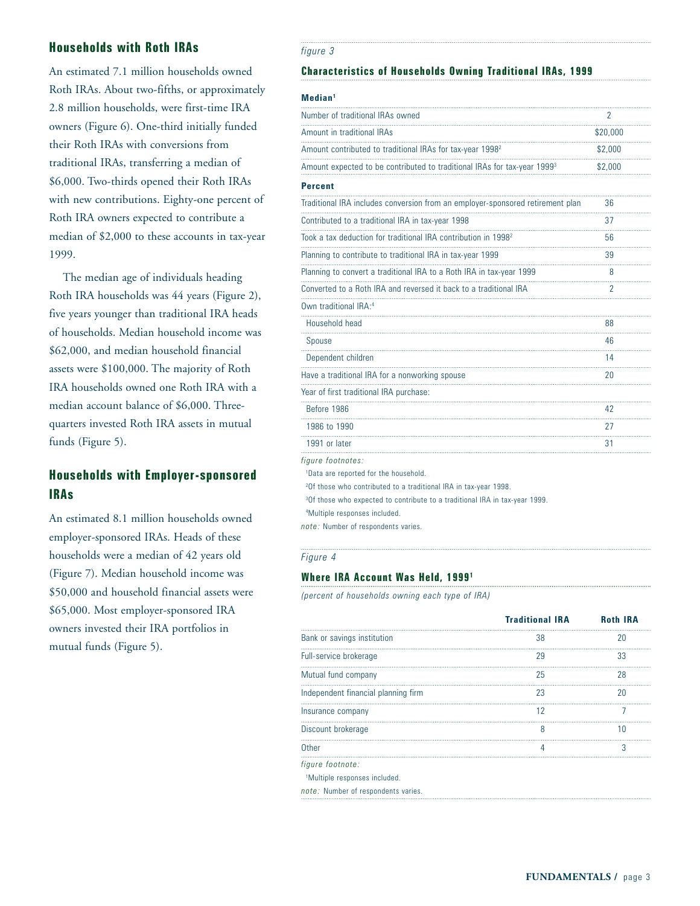# **Households with Roth IRAs**

An estimated 7.1 million households owned Roth IRAs. About two-fifths, or approximately 2.8 million households, were first-time IRA owners (Figure 6). One-third initially funded their Roth IRAs with conversions from traditional IRAs, transferring a median of \$6,000. Two-thirds opened their Roth IRAs with new contributions. Eighty-one percent of Roth IRA owners expected to contribute a median of \$2,000 to these accounts in tax-year 1999.

The median age of individuals heading Roth IRA households was 44 years (Figure 2), five years younger than traditional IRA heads of households. Median household income was \$62,000, and median household financial assets were \$100,000. The majority of Roth IRA households owned one Roth IRA with a median account balance of \$6,000. Threequarters invested Roth IRA assets in mutual funds (Figure 5).

# **Households with Employer-sponsored IRAs**

An estimated 8.1 million households owned employer-sponsored IRAs. Heads of these households were a median of 42 years old (Figure 7). Median household income was \$50,000 and household financial assets were \$65,000. Most employer-sponsored IRA owners invested their IRA portfolios in mutual funds (Figure 5).

#### *figure 3*

# **Characteristics of Households Owning Traditional IRAs, 1999**

#### **Median1**

| Number of traditional IRAs owned                                                        | $\overline{2}$ |
|-----------------------------------------------------------------------------------------|----------------|
| Amount in traditional IRAs                                                              | \$20,000       |
| Amount contributed to traditional IRAs for tax-year 1998 <sup>2</sup>                   | \$2,000        |
| Amount expected to be contributed to traditional IRAs for tax-year 1999 <sup>3</sup>    | \$2,000        |
| <b>Percent</b>                                                                          |                |
| Traditional IRA includes conversion from an employer-sponsored retirement plan          | 36             |
| Contributed to a traditional IRA in tax-year 1998                                       | 37             |
| Took a tax deduction for traditional IRA contribution in 1998 <sup>2</sup>              | 56             |
| Planning to contribute to traditional IRA in tax-year 1999                              | 39             |
| Planning to convert a traditional IRA to a Roth IRA in tax-year 1999                    | 8              |
| Converted to a Roth IRA and reversed it back to a traditional IRA                       | 2              |
| Own traditional IRA:4                                                                   |                |
| Household head                                                                          | 88             |
| Spouse                                                                                  | 46             |
| Dependent children                                                                      | 14             |
| Have a traditional IRA for a nonworking spouse                                          | 20             |
| Year of first traditional IRA purchase:                                                 |                |
| Before 1986                                                                             | 42             |
| 1986 to 1990                                                                            | 27             |
| 1991 or later                                                                           | 31             |
| figure footnotes:                                                                       |                |
| <sup>1</sup> Data are reported for the household.                                       |                |
| <sup>2</sup> Of those who contributed to a traditional IRA in tax-year 1998.            |                |
| <sup>3</sup> Of those who expected to contribute to a traditional IRA in tax-year 1999. |                |
| <sup>4</sup> Multiple responses included.                                               |                |

*note:* Number of respondents varies.

#### *Figure 4*

## **Where IRA Account Was Held, 19991**

*(percent of households owning each type of IRA)*

|                                           | <b>Traditional IRA</b> | <b>Roth IRA</b> |
|-------------------------------------------|------------------------|-----------------|
| Bank or savings institution               | 38                     | 20              |
| Full-service brokerage                    | 29                     | 33              |
| Mutual fund company                       | 25                     | 28              |
| Independent financial planning firm       | 23                     | 20              |
| Insurance company                         | 12                     |                 |
| Discount brokerage                        | 8                      | 10              |
| Other                                     | 4                      | 3               |
| figure footnote:                          |                        |                 |
| <sup>1</sup> Multiple responses included. |                        |                 |
| note: Number of respondents varies.       |                        |                 |